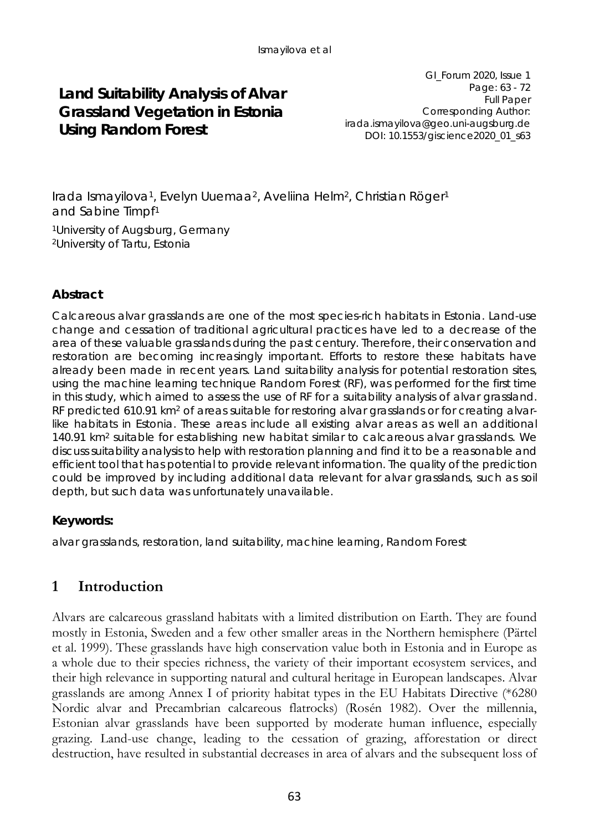## **Land Suitability Analysis of Alvar Grassland Vegetation in Estonia Using Random Forest**

GI\_Forum 2020, Issue 1 Page: 63 - 72 Full Paper Corresponding Author: irada.ismayilova@geo.uni-augsburg.de DOI: 10.1553/giscience2020\_01\_s63

Irada Ismayilova1, Evelyn Uuemaa2, Aveliina Helm2, Christian Röger1 and Sabine Timpf1

1University of Augsburg, Germany 2University of Tartu, Estonia

## **Abstract**

Calcareous alvar grasslands are one of the most species-rich habitats in Estonia. Land-use change and cessation of traditional agricultural practices have led to a decrease of the area of these valuable grasslands during the past century. Therefore, their conservation and restoration are becoming increasingly important. Efforts to restore these habitats have already been made in recent years. Land suitability analysis for potential restoration sites, using the machine learning technique Random Forest (RF), was performed for the first time in this study, which aimed to assess the use of RF for a suitability analysis of alvar grassland. RF predicted 610.91 km<sup>2</sup> of areas suitable for restoring alvar grasslands or for creating alvarlike habitats in Estonia. These areas include all existing alvar areas as well an additional 140.91 km<sup>2</sup> suitable for establishing new habitat similar to calcareous alvar grasslands. We discuss suitability analysis to help with restoration planning and find it to be a reasonable and efficient tool that has potential to provide relevant information. The quality of the prediction could be improved by including additional data relevant for alvar grasslands, such as soil depth, but such data was unfortunately unavailable.

#### **Keywords:**

alvar grasslands, restoration, land suitability, machine learning, Random Forest

## **1 Introduction**

Alvars are calcareous grassland habitats with a limited distribution on Earth. They are found mostly in Estonia, Sweden and a few other smaller areas in the Northern hemisphere (Pärtel et al. 1999). These grasslands have high conservation value both in Estonia and in Europe as a whole due to their species richness, the variety of their important ecosystem services, and their high relevance in supporting natural and cultural heritage in European landscapes. Alvar grasslands are among Annex I of priority habitat types in the EU Habitats Directive (\*6280 Nordic alvar and Precambrian calcareous flatrocks) (Rosén 1982). Over the millennia, Estonian alvar grasslands have been supported by moderate human influence, especially grazing. Land-use change, leading to the cessation of grazing, afforestation or direct destruction, have resulted in substantial decreases in area of alvars and the subsequent loss of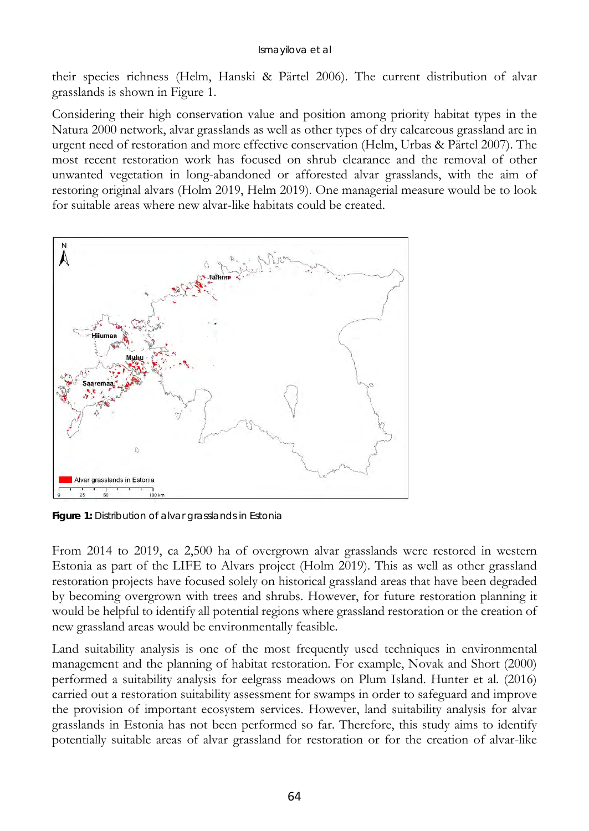their species richness (Helm, Hanski & Pärtel 2006). The current distribution of alvar grasslands is shown in Figure 1.

Considering their high conservation value and position among priority habitat types in the Natura 2000 network, alvar grasslands as well as other types of dry calcareous grassland are in urgent need of restoration and more effective conservation (Helm, Urbas & Pärtel 2007). The most recent restoration work has focused on shrub clearance and the removal of other unwanted vegetation in long-abandoned or afforested alvar grasslands, with the aim of restoring original alvars (Holm 2019, Helm 2019). One managerial measure would be to look for suitable areas where new alvar-like habitats could be created.



**Figure 1:** Distribution of alvar grasslands in Estonia

From 2014 to 2019, ca 2,500 ha of overgrown alvar grasslands were restored in western Estonia as part of the LIFE to Alvars project (Holm 2019). This as well as other grassland restoration projects have focused solely on historical grassland areas that have been degraded by becoming overgrown with trees and shrubs. However, for future restoration planning it would be helpful to identify all potential regions where grassland restoration or the creation of new grassland areas would be environmentally feasible.

Land suitability analysis is one of the most frequently used techniques in environmental management and the planning of habitat restoration. For example, Novak and Short (2000) performed a suitability analysis for eelgrass meadows on Plum Island. Hunter et al. (2016) carried out a restoration suitability assessment for swamps in order to safeguard and improve the provision of important ecosystem services. However, land suitability analysis for alvar grasslands in Estonia has not been performed so far. Therefore, this study aims to identify potentially suitable areas of alvar grassland for restoration or for the creation of alvar-like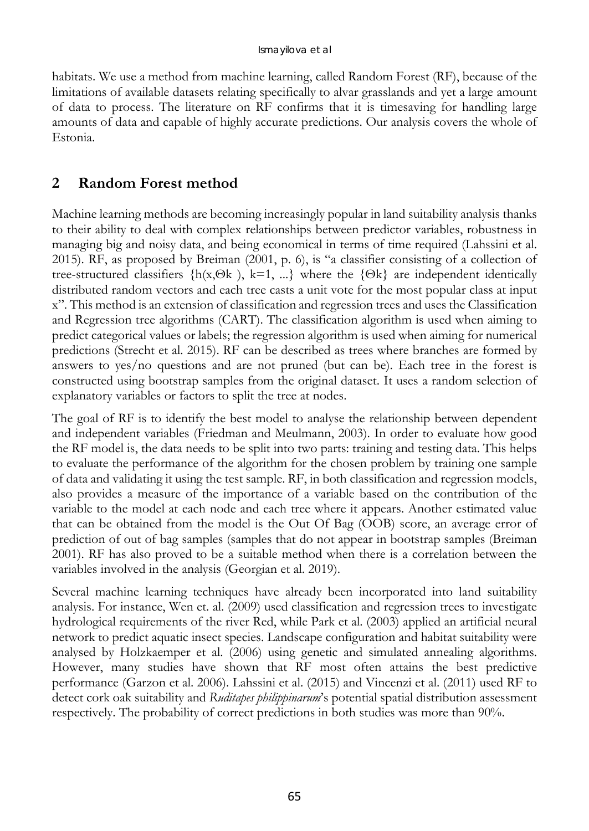habitats. We use a method from machine learning, called Random Forest (RF), because of the limitations of available datasets relating specifically to alvar grasslands and yet a large amount of data to process. The literature on RF confirms that it is timesaving for handling large amounts of data and capable of highly accurate predictions. Our analysis covers the whole of Estonia.

## **2 Random Forest method**

Machine learning methods are becoming increasingly popular in land suitability analysis thanks to their ability to deal with complex relationships between predictor variables, robustness in managing big and noisy data, and being economical in terms of time required (Lahssini et al. 2015). RF, as proposed by Breiman (2001, p. 6), is "a classifier consisting of a collection of tree-structured classifiers  $\{h(x,\Theta k)$ , k=1, ...} where the  $\{\Theta k\}$  are independent identically distributed random vectors and each tree casts a unit vote for the most popular class at input x". This method is an extension of classification and regression trees and uses the Classification and Regression tree algorithms (CART). The classification algorithm is used when aiming to predict categorical values or labels; the regression algorithm is used when aiming for numerical predictions (Strecht et al. 2015). RF can be described as trees where branches are formed by answers to yes/no questions and are not pruned (but can be). Each tree in the forest is constructed using bootstrap samples from the original dataset. It uses a random selection of explanatory variables or factors to split the tree at nodes.

The goal of RF is to identify the best model to analyse the relationship between dependent and independent variables (Friedman and Meulmann, 2003). In order to evaluate how good the RF model is, the data needs to be split into two parts: training and testing data. This helps to evaluate the performance of the algorithm for the chosen problem by training one sample of data and validating it using the test sample. RF, in both classification and regression models, also provides a measure of the importance of a variable based on the contribution of the variable to the model at each node and each tree where it appears. Another estimated value that can be obtained from the model is the Out Of Bag (OOB) score, an average error of prediction of out of bag samples (samples that do not appear in bootstrap samples (Breiman 2001). RF has also proved to be a suitable method when there is a correlation between the variables involved in the analysis (Georgian et al. 2019).

Several machine learning techniques have already been incorporated into land suitability analysis. For instance, Wen et. al. (2009) used classification and regression trees to investigate hydrological requirements of the river Red, while Park et al. (2003) applied an artificial neural network to predict aquatic insect species. Landscape configuration and habitat suitability were analysed by Holzkaemper et al. (2006) using genetic and simulated annealing algorithms. However, many studies have shown that RF most often attains the best predictive performance (Garzon et al. 2006). Lahssini et al. (2015) and Vincenzi et al. (2011) used RF to detect cork oak suitability and *Ruditapes philippinarum*'s potential spatial distribution assessment respectively. The probability of correct predictions in both studies was more than 90%.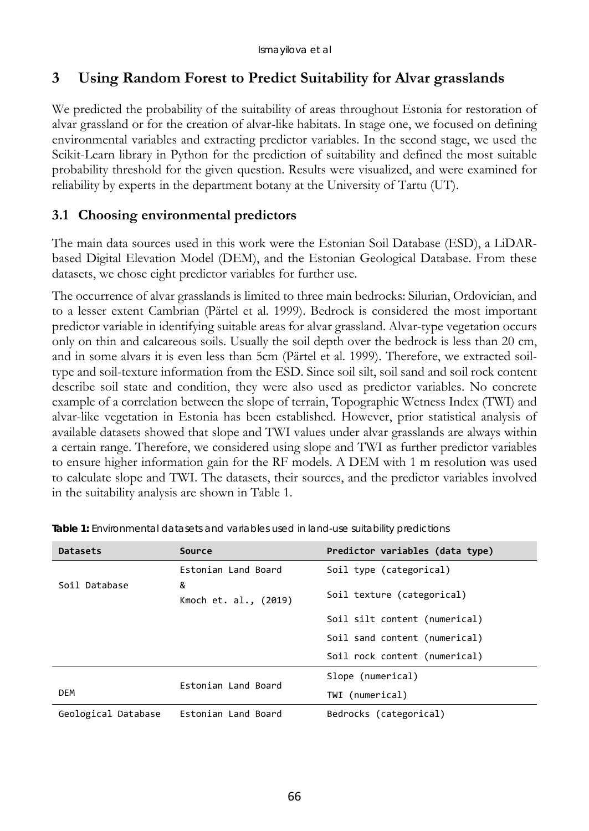## **3 Using Random Forest to Predict Suitability for Alvar grasslands**

We predicted the probability of the suitability of areas throughout Estonia for restoration of alvar grassland or for the creation of alvar-like habitats. In stage one, we focused on defining environmental variables and extracting predictor variables. In the second stage, we used the Scikit-Learn library in Python for the prediction of suitability and defined the most suitable probability threshold for the given question. Results were visualized, and were examined for reliability by experts in the department botany at the University of Tartu (UT).

## **3.1 Choosing environmental predictors**

The main data sources used in this work were the Estonian Soil Database (ESD), a LiDARbased Digital Elevation Model (DEM), and the Estonian Geological Database. From these datasets, we chose eight predictor variables for further use.

The occurrence of alvar grasslands is limited to three main bedrocks: Silurian, Ordovician, and to a lesser extent Cambrian (Pärtel et al. 1999). Bedrock is considered the most important predictor variable in identifying suitable areas for alvar grassland. Alvar-type vegetation occurs only on thin and calcareous soils. Usually the soil depth over the bedrock is less than 20 cm, and in some alvars it is even less than 5cm (Pärtel et al. 1999). Therefore, we extracted soiltype and soil-texture information from the ESD. Since soil silt, soil sand and soil rock content describe soil state and condition, they were also used as predictor variables. No concrete example of a correlation between the slope of terrain, Topographic Wetness Index (TWI) and alvar-like vegetation in Estonia has been established. However, prior statistical analysis of available datasets showed that slope and TWI values under alvar grasslands are always within a certain range. Therefore, we considered using slope and TWI as further predictor variables to ensure higher information gain for the RF models. A DEM with 1 m resolution was used to calculate slope and TWI. The datasets, their sources, and the predictor variables involved in the suitability analysis are shown in Table 1.

| Datasets            | Source                     | Predictor variables (data type) |  |
|---------------------|----------------------------|---------------------------------|--|
|                     | Estonian Land Board        | Soil type (categorical)         |  |
| Soil Database       | &<br>Kmoch et. al., (2019) | Soil texture (categorical)      |  |
|                     |                            | Soil silt content (numerical)   |  |
|                     |                            | Soil sand content (numerical)   |  |
|                     |                            | Soil rock content (numerical)   |  |
|                     | Estonian Land Board        | Slope (numerical)               |  |
| DEM                 |                            | TWI (numerical)                 |  |
| Geological Database | Estonian Land Board        | Bedrocks (categorical)          |  |

**Table 1:** Environmental datasets and variables used in land-use suitability predictions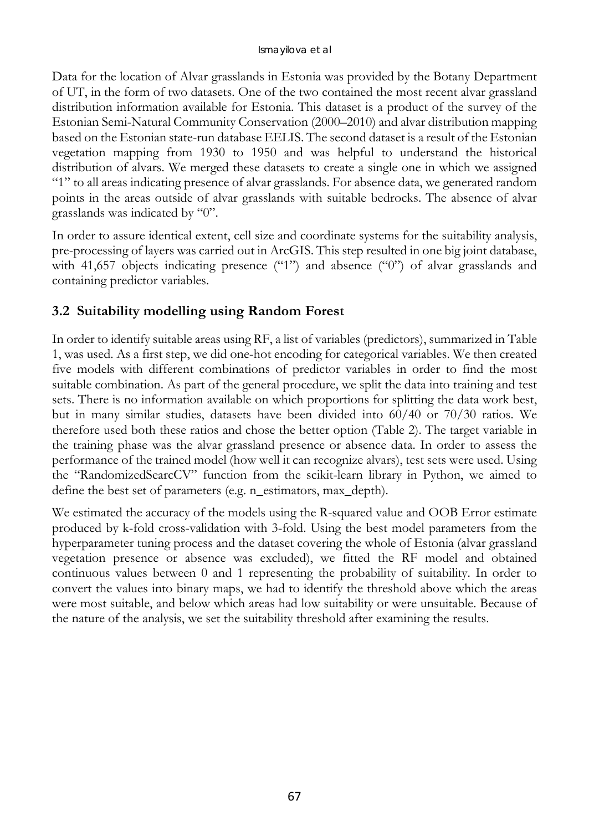Data for the location of Alvar grasslands in Estonia was provided by the Botany Department of UT, in the form of two datasets. One of the two contained the most recent alvar grassland distribution information available for Estonia. This dataset is a product of the survey of the Estonian Semi-Natural Community Conservation (2000–2010) and alvar distribution mapping based on the Estonian state-run database EELIS. The second dataset is a result of the Estonian vegetation mapping from 1930 to 1950 and was helpful to understand the historical distribution of alvars. We merged these datasets to create a single one in which we assigned "1" to all areas indicating presence of alvar grasslands. For absence data, we generated random points in the areas outside of alvar grasslands with suitable bedrocks. The absence of alvar grasslands was indicated by "0".

In order to assure identical extent, cell size and coordinate systems for the suitability analysis, pre-processing of layers was carried out in ArcGIS. This step resulted in one big joint database, with 41,657 objects indicating presence ("1") and absence ("0") of alvar grasslands and containing predictor variables.

## **3.2 Suitability modelling using Random Forest**

In order to identify suitable areas using RF, a list of variables (predictors), summarized in Table 1, was used. As a first step, we did one-hot encoding for categorical variables. We then created five models with different combinations of predictor variables in order to find the most suitable combination. As part of the general procedure, we split the data into training and test sets. There is no information available on which proportions for splitting the data work best, but in many similar studies, datasets have been divided into 60/40 or 70/30 ratios. We therefore used both these ratios and chose the better option (Table 2). The target variable in the training phase was the alvar grassland presence or absence data. In order to assess the performance of the trained model (how well it can recognize alvars), test sets were used. Using the "RandomizedSearcCV" function from the scikit-learn library in Python, we aimed to define the best set of parameters (e.g. n\_estimators, max\_depth).

We estimated the accuracy of the models using the R-squared value and OOB Error estimate produced by k-fold cross-validation with 3-fold. Using the best model parameters from the hyperparameter tuning process and the dataset covering the whole of Estonia (alvar grassland vegetation presence or absence was excluded), we fitted the RF model and obtained continuous values between 0 and 1 representing the probability of suitability. In order to convert the values into binary maps, we had to identify the threshold above which the areas were most suitable, and below which areas had low suitability or were unsuitable. Because of the nature of the analysis, we set the suitability threshold after examining the results.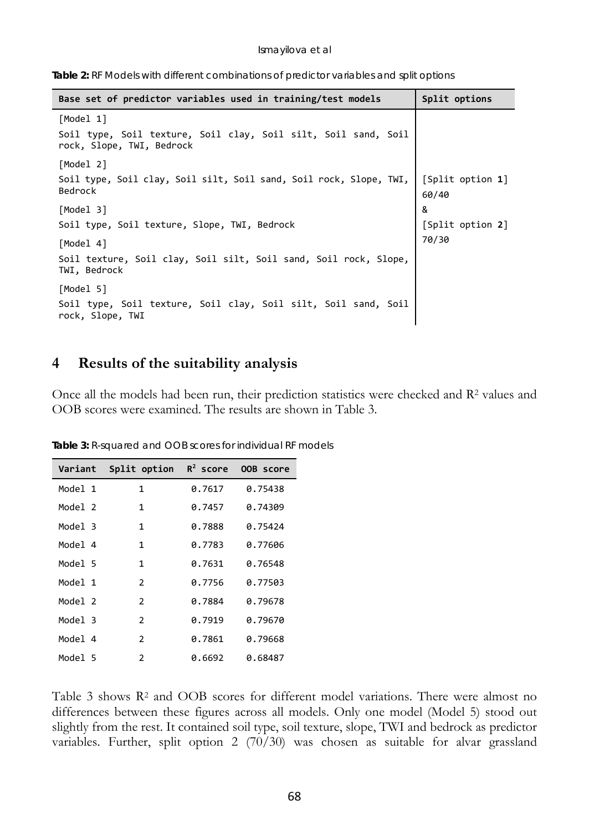|  |  |  |  |  | Table 2: RF Models with different combinations of predictor variables and split options |  |  |  |  |  |
|--|--|--|--|--|-----------------------------------------------------------------------------------------|--|--|--|--|--|
|--|--|--|--|--|-----------------------------------------------------------------------------------------|--|--|--|--|--|

| Base set of predictor variables used in training/test models                                             | Split options             |
|----------------------------------------------------------------------------------------------------------|---------------------------|
| [Model 1]<br>Soil type, Soil texture, Soil clay, Soil silt, Soil sand, Soil<br>rock, Slope, TWI, Bedrock |                           |
| [Model 2]<br>Soil type, Soil clay, Soil silt, Soil sand, Soil rock, Slope, TWI,<br>Bedrock               | [Split option 1]<br>60/40 |
| [Model 3]<br>Soil type, Soil texture, Slope, TWI, Bedrock                                                | &<br>[Split option 2]     |
| [Model 4]<br>Soil texture, Soil clay, Soil silt, Soil sand, Soil rock, Slope,<br>TWI, Bedrock            | 70/30                     |
| [Model 5]<br>Soil type, Soil texture, Soil clay, Soil silt, Soil sand, Soil<br>rock, Slope, TWI          |                           |

#### **4 Results of the suitability analysis**

Once all the models had been run, their prediction statistics were checked and R2 values and OOB scores were examined. The results are shown in Table 3.

| Variant | Split option $R^2$ score |        | OOB score |
|---------|--------------------------|--------|-----------|
| Model 1 | 1                        | 0.7617 | 0.75438   |
| Model 2 | 1                        | 0.7457 | 0.74309   |
| Model 3 | 1                        | 0.7888 | 0.75424   |
| Model 4 | 1                        | 0.7783 | 0.77606   |
| Model 5 | 1                        | 0.7631 | 0.76548   |
| Model 1 | $\mathcal{P}$            | 0.7756 | 0.77503   |
| Model 2 | 2                        | 0.7884 | 0.79678   |
| Model 3 | $\mathcal{P}$            | 0.7919 | 0.79670   |
| Model 4 | $\mathcal{P}$            | 0.7861 | 0.79668   |
| Model 5 | $\mathcal{P}$            | 0.6692 | 0.68487   |

**Table 3:** R-squared and OOB scores for individual RF models

Table 3 shows R2 and OOB scores for different model variations. There were almost no differences between these figures across all models. Only one model (Model 5) stood out slightly from the rest. It contained soil type, soil texture, slope, TWI and bedrock as predictor variables. Further, split option 2 (70/30) was chosen as suitable for alvar grassland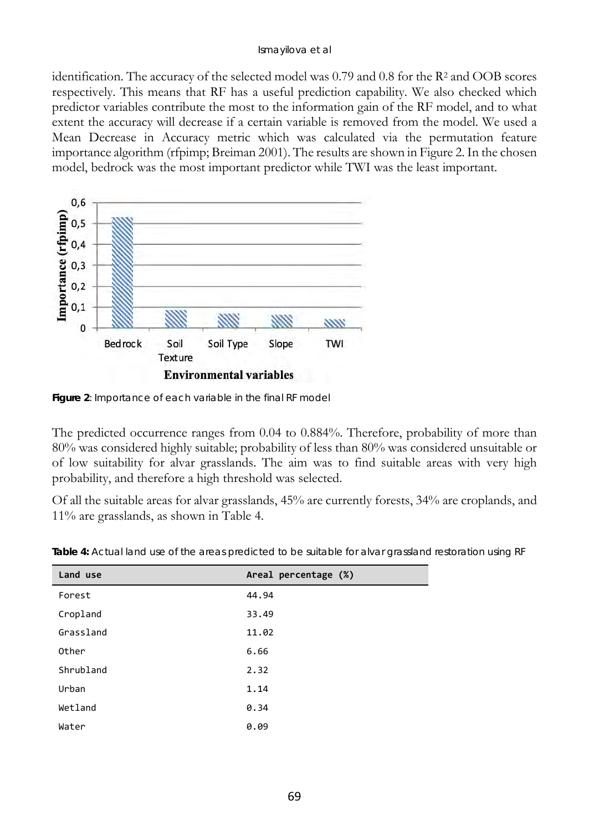#### Ismayilova et al

identification. The accuracy of the selected model was  $0.79$  and  $0.8$  for the R<sup>2</sup> and OOB scores respectively. This means that RF has a useful prediction capability. We also checked which predictor variables contribute the most to the information gain of the RF model, and to what extent the accuracy will decrease if a certain variable is removed from the model. We used a Mean Decrease in Accuracy metric which was calculated via the permutation feature importance algorithm (rfpimp; Breiman 2001). The results are shown in Figure 2. In the chosen model, bedrock was the most important predictor while TWI was the least important.



**Figure 2**: Importance of each variable in the final RF model

The predicted occurrence ranges from 0.04 to 0.884%. Therefore, probability of more than 80% was considered highly suitable; probability of less than 80% was considered unsuitable or of low suitability for alvar grasslands. The aim was to find suitable areas with very high probability, and therefore a high threshold was selected.

Of all the suitable areas for alvar grasslands, 45% are currently forests, 34% are croplands, and 11% are grasslands, as shown in Table 4.

| Land use  | Areal percentage (%) |
|-----------|----------------------|
| Forest    | 44.94                |
| Cropland  | 33.49                |
| Grassland | 11.02                |
| Other     | 6.66                 |
| Shrubland | 2.32                 |
| Urban     | 1.14                 |
| Wetland   | 0.34                 |
| Water     | 0.09                 |

**Table 4:** Actual land use of the areas predicted to be suitable for alvar grassland restoration using RF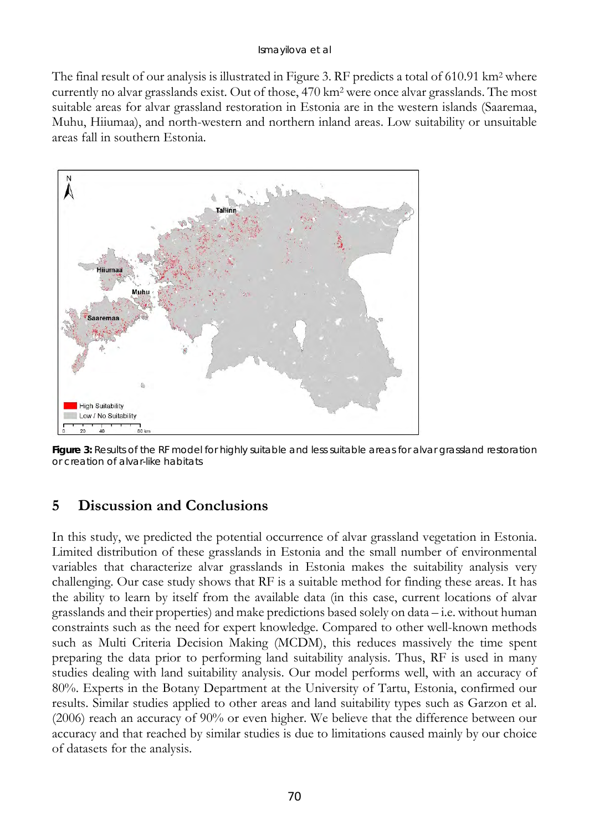The final result of our analysis is illustrated in Figure 3. RF predicts a total of 610.91 km<sup>2</sup> where currently no alvar grasslands exist. Out of those, 470 km2 were once alvar grasslands. The most suitable areas for alvar grassland restoration in Estonia are in the western islands (Saaremaa, Muhu, Hiiumaa), and north-western and northern inland areas. Low suitability or unsuitable areas fall in southern Estonia.



**Figure 3:** Results of the RF model for highly suitable and less suitable areas for alvar grassland restoration or creation of alvar-like habitats

## **5 Discussion and Conclusions**

In this study, we predicted the potential occurrence of alvar grassland vegetation in Estonia. Limited distribution of these grasslands in Estonia and the small number of environmental variables that characterize alvar grasslands in Estonia makes the suitability analysis very challenging. Our case study shows that RF is a suitable method for finding these areas. It has the ability to learn by itself from the available data (in this case, current locations of alvar grasslands and their properties) and make predictions based solely on data – i.e. without human constraints such as the need for expert knowledge. Compared to other well-known methods such as Multi Criteria Decision Making (MCDM), this reduces massively the time spent preparing the data prior to performing land suitability analysis. Thus, RF is used in many studies dealing with land suitability analysis. Our model performs well, with an accuracy of 80%. Experts in the Botany Department at the University of Tartu, Estonia, confirmed our results. Similar studies applied to other areas and land suitability types such as Garzon et al. (2006) reach an accuracy of 90% or even higher. We believe that the difference between our accuracy and that reached by similar studies is due to limitations caused mainly by our choice of datasets for the analysis.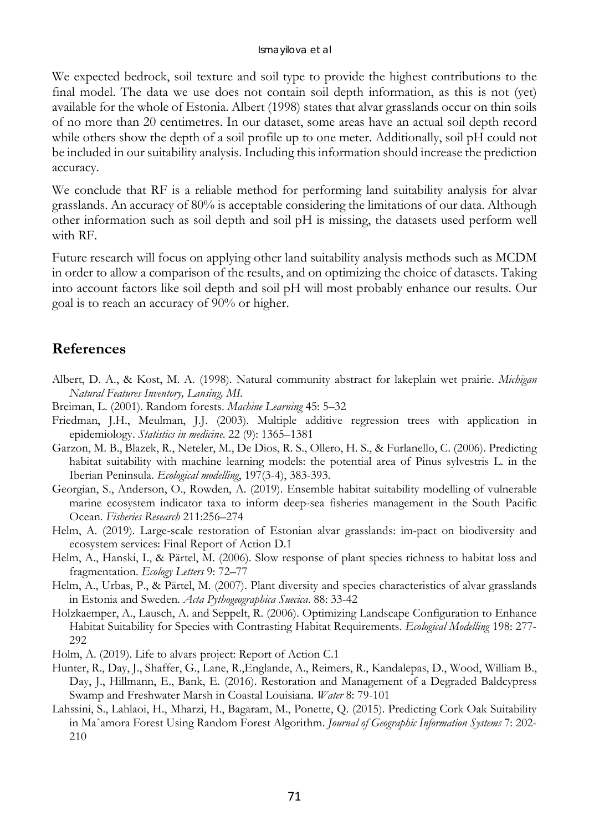We expected bedrock, soil texture and soil type to provide the highest contributions to the final model. The data we use does not contain soil depth information, as this is not (yet) available for the whole of Estonia. Albert (1998) states that alvar grasslands occur on thin soils of no more than 20 centimetres. In our dataset, some areas have an actual soil depth record while others show the depth of a soil profile up to one meter. Additionally, soil pH could not be included in our suitability analysis. Including this information should increase the prediction accuracy.

We conclude that RF is a reliable method for performing land suitability analysis for alvar grasslands. An accuracy of 80% is acceptable considering the limitations of our data. Although other information such as soil depth and soil pH is missing, the datasets used perform well with RF.

Future research will focus on applying other land suitability analysis methods such as MCDM in order to allow a comparison of the results, and on optimizing the choice of datasets. Taking into account factors like soil depth and soil pH will most probably enhance our results. Our goal is to reach an accuracy of 90% or higher.

# **References**

- Albert, D. A., & Kost, M. A. (1998). Natural community abstract for lakeplain wet prairie. *Michigan Natural Features Inventory, Lansing, MI.*
- Breiman, L. (2001). Random forests. *Machine Learning* 45: 5–32
- Friedman, J.H., Meulman, J.J. (2003). Multiple additive regression trees with application in epidemiology. *Statistics in medicine*. 22 (9): 1365–1381
- Garzon, M. B., Blazek, R., Neteler, M., De Dios, R. S., Ollero, H. S., & Furlanello, C. (2006). Predicting habitat suitability with machine learning models: the potential area of Pinus sylvestris L. in the Iberian Peninsula. *Ecological modelling*, 197(3-4), 383-393.
- Georgian, S., Anderson, O., Rowden, A. (2019). Ensemble habitat suitability modelling of vulnerable marine ecosystem indicator taxa to inform deep-sea fisheries management in the South Pacific Ocean. *Fisheries Research* 211:256–274
- Helm, A. (2019). Large-scale restoration of Estonian alvar grasslands: im-pact on biodiversity and ecosystem services: Final Report of Action D.1
- Helm, A., Hanski, I., & Pärtel, M. (2006). Slow response of plant species richness to habitat loss and fragmentation. *Ecology Letters* 9: 72–77
- Helm, A., Urbas, P., & Pärtel, M. (2007). Plant diversity and species characteristics of alvar grasslands in Estonia and Sweden. *Acta Pythogeographica Suecica*. 88: 33-42
- Holzkaemper, A., Lausch, A. and Seppelt, R. (2006). Optimizing Landscape Configuration to Enhance Habitat Suitability for Species with Contrasting Habitat Requirements. *Ecological Modelling* 198: 277- 292
- Holm, A. (2019). Life to alvars project: Report of Action C.1
- Hunter, R., Day, J., Shaffer, G., Lane, R.,Englande, A., Reimers, R., Kandalepas, D., Wood, William B., Day, J., Hillmann, E., Bank, E. (2016). Restoration and Management of a Degraded Baldcypress Swamp and Freshwater Marsh in Coastal Louisiana. *Water* 8: 79-101
- Lahssini, S., Lahlaoi, H., Mharzi, H., Bagaram, M., Ponette, Q. (2015). Predicting Cork Oak Suitability in Maˆamora Forest Using Random Forest Algorithm. *Journal of Geographic Information Systems* 7: 202- 210